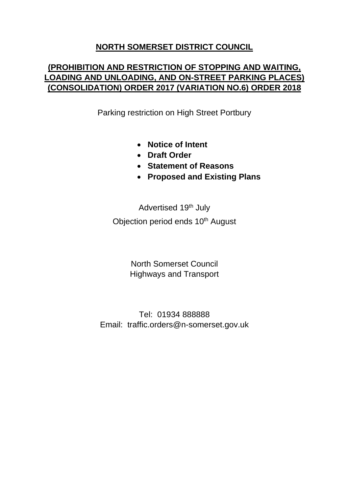#### **NORTH SOMERSET DISTRICT COUNCIL**

### **(PROHIBITION AND RESTRICTION OF STOPPING AND WAITING, LOADING AND UNLOADING, AND ON-STREET PARKING PLACES) (CONSOLIDATION) ORDER 2017 (VARIATION NO.6) ORDER 2018**

Parking restriction on High Street Portbury

- **Notice of Intent**
- **Draft Order**
- **Statement of Reasons**
- **Proposed and Existing Plans**

Advertised 19<sup>th</sup> July Objection period ends 10<sup>th</sup> August

> North Somerset Council Highways and Transport

Tel: 01934 888888 Email: traffic.orders@n-somerset.gov.uk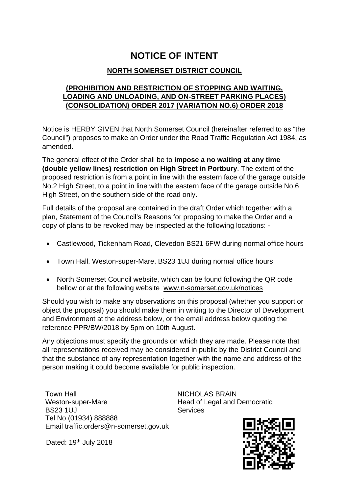# **NOTICE OF INTENT**

#### **NORTH SOMERSET DISTRICT COUNCIL**

#### **(PROHIBITION AND RESTRICTION OF STOPPING AND WAITING, LOADING AND UNLOADING, AND ON-STREET PARKING PLACES) (CONSOLIDATION) ORDER 2017 (VARIATION NO.6) ORDER 2018**

Notice is HERBY GIVEN that North Somerset Council (hereinafter referred to as "the Council") proposes to make an Order under the Road Traffic Regulation Act 1984, as amended.

The general effect of the Order shall be to **impose a no waiting at any time (double yellow lines) restriction on High Street in Portbury**. The extent of the proposed restriction is from a point in line with the eastern face of the garage outside No.2 High Street, to a point in line with the eastern face of the garage outside No.6 High Street, on the southern side of the road only.

Full details of the proposal are contained in the draft Order which together with a plan, Statement of the Council's Reasons for proposing to make the Order and a copy of plans to be revoked may be inspected at the following locations: -

- Castlewood, Tickenham Road, Clevedon BS21 6FW during normal office hours
- Town Hall, Weston-super-Mare, BS23 1UJ during normal office hours
- North Somerset Council website, which can be found following the QR code bellow or at the following website www.n-somerset.gov.uk/notices

Should you wish to make any observations on this proposal (whether you support or object the proposal) you should make them in writing to the Director of Development and Environment at the address below, or the email address below quoting the reference PPR/BW/2018 by 5pm on 10th August.

Any objections must specify the grounds on which they are made. Please note that all representations received may be considered in public by the District Council and that the substance of any representation together with the name and address of the person making it could become available for public inspection.

Town Hall Weston-super-Mare BS23 1UJ Tel No (01934) 888888 Email traffic.orders@n-somerset.gov.uk

Dated: 19<sup>th</sup> July 2018

NICHOLAS BRAIN Head of Legal and Democratic Services

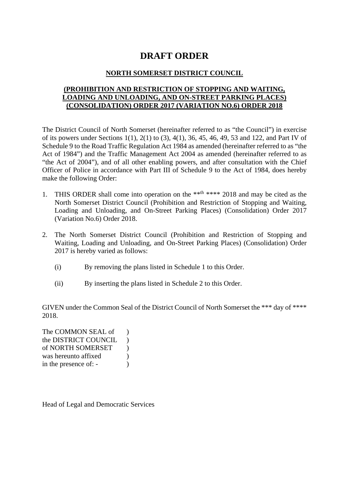## **DRAFT ORDER**

#### **NORTH SOMERSET DISTRICT COUNCIL**

#### **(PROHIBITION AND RESTRICTION OF STOPPING AND WAITING, LOADING AND UNLOADING, AND ON-STREET PARKING PLACES) (CONSOLIDATION) ORDER 2017 (VARIATION NO.6) ORDER 2018**

The District Council of North Somerset (hereinafter referred to as "the Council") in exercise of its powers under Sections 1(1), 2(1) to (3), 4(1), 36, 45, 46, 49, 53 and 122, and Part IV of Schedule 9 to the Road Traffic Regulation Act 1984 as amended (hereinafter referred to as "the Act of 1984") and the Traffic Management Act 2004 as amended (hereinafter referred to as "the Act of 2004"), and of all other enabling powers, and after consultation with the Chief Officer of Police in accordance with Part III of Schedule 9 to the Act of 1984, does hereby make the following Order:

- 1. THIS ORDER shall come into operation on the \*\*th \*\*\*\* 2018 and may be cited as the North Somerset District Council (Prohibition and Restriction of Stopping and Waiting, Loading and Unloading, and On-Street Parking Places) (Consolidation) Order 2017 (Variation No.6) Order 2018.
- 2. The North Somerset District Council (Prohibition and Restriction of Stopping and Waiting, Loading and Unloading, and On-Street Parking Places) (Consolidation) Order 2017 is hereby varied as follows:
	- (i) By removing the plans listed in Schedule 1 to this Order.
	- (ii) By inserting the plans listed in Schedule 2 to this Order.

GIVEN under the Common Seal of the District Council of North Somerset the \*\*\* day of \*\*\*\* 2018.

The COMMON SEAL of ) the DISTRICT COUNCIL ) of NORTH SOMERSET ) was hereunto affixed  $\qquad$ ) in the presence of: -

Head of Legal and Democratic Services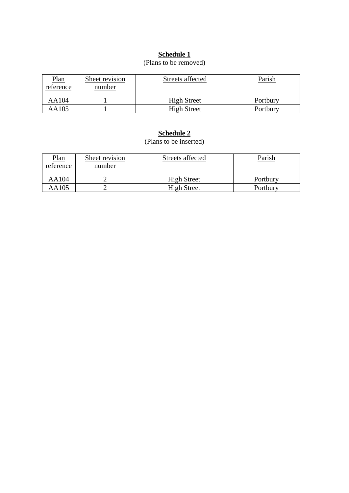#### **Schedule 1**

#### (Plans to be removed)

| <u>Plan</u><br>reference | Sheet revision<br>number | Streets affected   | Parish   |
|--------------------------|--------------------------|--------------------|----------|
| AA104                    |                          | <b>High Street</b> | Portbury |
| AA105                    |                          | <b>High Street</b> | Portbury |

#### **Schedule 2**

(Plans to be inserted)

| <u>Plan</u><br>reference | Sheet revision<br>number | Streets affected   | Parish   |
|--------------------------|--------------------------|--------------------|----------|
| AA104                    |                          | <b>High Street</b> | Portbury |
| AA105                    |                          | <b>High Street</b> | Portbury |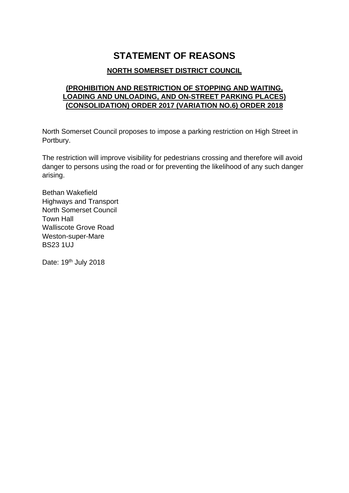# **STATEMENT OF REASONS**

#### **NORTH SOMERSET DISTRICT COUNCIL**

#### **(PROHIBITION AND RESTRICTION OF STOPPING AND WAITING, LOADING AND UNLOADING, AND ON-STREET PARKING PLACES) (CONSOLIDATION) ORDER 2017 (VARIATION NO.6) ORDER 2018**

North Somerset Council proposes to impose a parking restriction on High Street in Portbury.

The restriction will improve visibility for pedestrians crossing and therefore will avoid danger to persons using the road or for preventing the likelihood of any such danger arising.

Bethan Wakefield Highways and Transport North Somerset Council Town Hall Walliscote Grove Road Weston-super-Mare BS23 1UJ

Date: 19<sup>th</sup> July 2018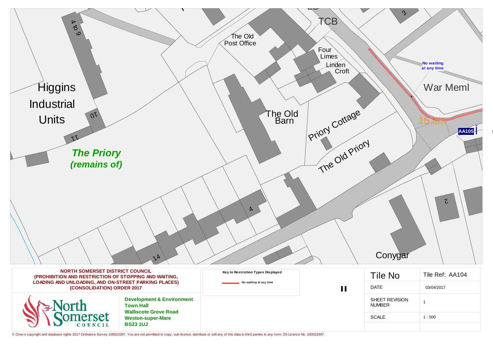| $\blacktriangleright$<br>$\breve{\circ}$                                                        |                                                          |                                    | <b>CB</b>      |
|-------------------------------------------------------------------------------------------------|----------------------------------------------------------|------------------------------------|----------------|
| $\circ$                                                                                         |                                                          | The Old                            |                |
|                                                                                                 |                                                          | Post Office                        | Four<br>Limes  |
|                                                                                                 |                                                          |                                    | Linden         |
|                                                                                                 |                                                          |                                    | Croft          |
| Higgins                                                                                         |                                                          |                                    |                |
| <b>Industrial</b>                                                                               |                                                          |                                    |                |
| $\overline{O}$<br><b>Units</b>                                                                  |                                                          | The Old<br>Barn                    |                |
|                                                                                                 |                                                          |                                    | Priory Cottage |
| <b>The Priory</b>                                                                               |                                                          |                                    |                |
| (remains of)                                                                                    |                                                          |                                    | The Old Priory |
|                                                                                                 |                                                          |                                    |                |
|                                                                                                 |                                                          |                                    |                |
|                                                                                                 |                                                          | $\mathbf{A}$                       |                |
|                                                                                                 |                                                          |                                    |                |
|                                                                                                 |                                                          |                                    |                |
|                                                                                                 |                                                          |                                    |                |
|                                                                                                 | $\lambda$                                                |                                    |                |
| <b>NORTH SOMERSET DISTRICT COUNCIL</b><br>(PROHIBITION AND RESTRICTION OF STOPPING AND WAITING, |                                                          | Key to Restriction Types Displayed |                |
| LOADING AND UNLOADING, AND ON-STREET PARKING PLACES)<br>(CONSOLIDATION) ORDER 2017              |                                                          | No waiting at any time             | $\mathbf{H}$   |
| orth                                                                                            | <b>Development &amp; Environment</b><br><b>Town Hall</b> |                                    |                |
| merset                                                                                          | <b>Walliscote Grove Road</b><br><b>Weston-super-Mare</b> |                                    |                |
| COUNCIL                                                                                         | <b>BS231UJ</b>                                           |                                    |                |

© Crow n copyright and database rights 2017 Ordnance Survey 100023397. You are not permitted to copy, sub-license, distribute or sell any of this data to third parties in any form. OS Licence No. 100023397.



| <b>Tile No</b>                         | Tile Ref: AA104 |
|----------------------------------------|-----------------|
| <b>DATE</b>                            | 03/04/2017      |
| <b>SHEET REVISION</b><br><b>JUMBER</b> | 1               |
| <b>SCALE</b>                           | 1:500           |
|                                        |                 |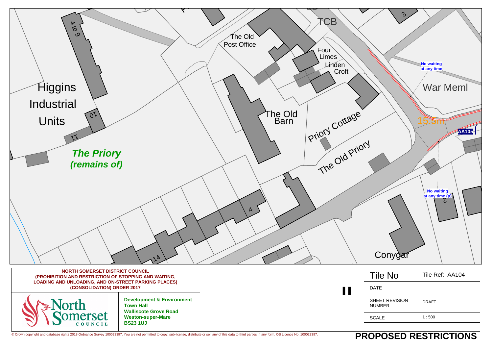

| ვ                               | <b>No waiting</b><br>at any time<br><b>War Meml</b> |
|---------------------------------|-----------------------------------------------------|
|                                 | <b>AA105 Ê</b><br>No waiting<br>at any time (p)     |
| Conygar                         |                                                     |
| <b>Tile No</b>                  | Tile Ref: AA104                                     |
| <b>DATE</b>                     |                                                     |
| SHEET REVISION<br><b>NUMBER</b> | <b>DRAFT</b>                                        |
| <b>SCALE</b>                    | 1:500                                               |
|                                 | DAAFD DEATDIATIALIA                                 |

# **PROPOSED RESTRICTIONS**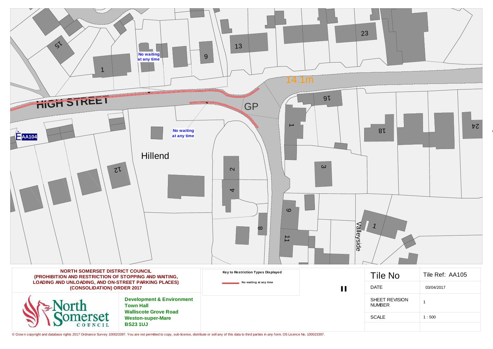

© Crow n copyright and database rights 2017 Ordnance Survey 100023397. You are not permitted to copy, sub-license, distribute or sell any of this data to third parties in any form. OS Licence No. 100023397.